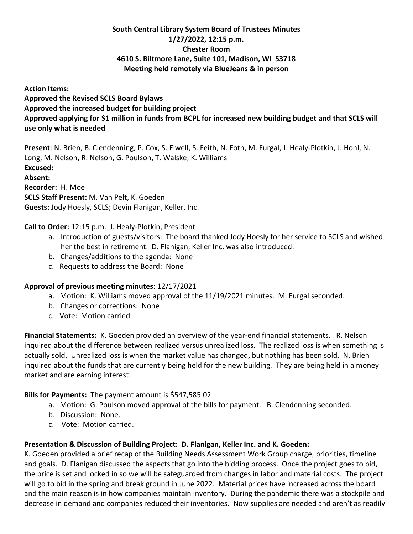# **South Central Library System Board of Trustees Minutes 1/27/2022, 12:15 p.m. Chester Room 4610 S. Biltmore Lane, Suite 101, Madison, WI 53718 Meeting held remotely via BlueJeans & in person**

**Action Items: Approved the Revised SCLS Board Bylaws Approved the increased budget for building project Approved applying for \$1 million in funds from BCPL for increased new building budget and that SCLS will use only what is needed**

**Present**: N. Brien, B. Clendenning, P. Cox, S. Elwell, S. Feith, N. Foth, M. Furgal, J. Healy-Plotkin, J. Honl, N. Long, M. Nelson, R. Nelson, G. Poulson, T. Walske, K. Williams **Excused: Absent: Recorder:** H. Moe **SCLS Staff Present:** M. Van Pelt, K. Goeden **Guests:** Jody Hoesly, SCLS; Devin Flanigan, Keller, Inc.

## **Call to Order:** 12:15 p.m. J. Healy-Plotkin, President

- a. Introduction of guests/visitors: The board thanked Jody Hoesly for her service to SCLS and wished her the best in retirement. D. Flanigan, Keller Inc. was also introduced.
- b. Changes/additions to the agenda: None
- c. Requests to address the Board: None

## **Approval of previous meeting minutes**: 12/17/2021

- a. Motion: K. Williams moved approval of the 11/19/2021 minutes. M. Furgal seconded.
- b. Changes or corrections: None
- c. Vote: Motion carried.

**Financial Statements:** K. Goeden provided an overview of the year-end financial statements. R. Nelson inquired about the difference between realized versus unrealized loss. The realized loss is when something is actually sold. Unrealized loss is when the market value has changed, but nothing has been sold. N. Brien inquired about the funds that are currently being held for the new building. They are being held in a money market and are earning interest.

## **Bills for Payments:** The payment amount is \$547,585.02

- a. Motion: G. Poulson moved approval of the bills for payment. B. Clendenning seconded.
- b. Discussion: None.
- c. Vote: Motion carried.

# **Presentation & Discussion of Building Project: D. Flanigan, Keller Inc. and K. Goeden:**

K. Goeden provided a brief recap of the Building Needs Assessment Work Group charge, priorities, timeline and goals. D. Flanigan discussed the aspects that go into the bidding process. Once the project goes to bid, the price is set and locked in so we will be safeguarded from changes in labor and material costs. The project will go to bid in the spring and break ground in June 2022. Material prices have increased across the board and the main reason is in how companies maintain inventory. During the pandemic there was a stockpile and decrease in demand and companies reduced their inventories. Now supplies are needed and aren't as readily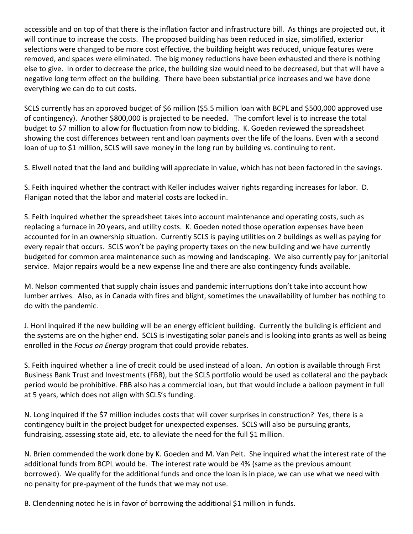accessible and on top of that there is the inflation factor and infrastructure bill. As things are projected out, it will continue to increase the costs. The proposed building has been reduced in size, simplified, exterior selections were changed to be more cost effective, the building height was reduced, unique features were removed, and spaces were eliminated. The big money reductions have been exhausted and there is nothing else to give. In order to decrease the price, the building size would need to be decreased, but that will have a negative long term effect on the building. There have been substantial price increases and we have done everything we can do to cut costs.

SCLS currently has an approved budget of \$6 million (\$5.5 million loan with BCPL and \$500,000 approved use of contingency). Another \$800,000 is projected to be needed. The comfort level is to increase the total budget to \$7 million to allow for fluctuation from now to bidding. K. Goeden reviewed the spreadsheet showing the cost differences between rent and loan payments over the life of the loans. Even with a second loan of up to \$1 million, SCLS will save money in the long run by building vs. continuing to rent.

S. Elwell noted that the land and building will appreciate in value, which has not been factored in the savings.

S. Feith inquired whether the contract with Keller includes waiver rights regarding increases for labor. D. Flanigan noted that the labor and material costs are locked in.

S. Feith inquired whether the spreadsheet takes into account maintenance and operating costs, such as replacing a furnace in 20 years, and utility costs. K. Goeden noted those operation expenses have been accounted for in an ownership situation. Currently SCLS is paying utilities on 2 buildings as well as paying for every repair that occurs. SCLS won't be paying property taxes on the new building and we have currently budgeted for common area maintenance such as mowing and landscaping. We also currently pay for janitorial service. Major repairs would be a new expense line and there are also contingency funds available.

M. Nelson commented that supply chain issues and pandemic interruptions don't take into account how lumber arrives. Also, as in Canada with fires and blight, sometimes the unavailability of lumber has nothing to do with the pandemic.

J. Honl inquired if the new building will be an energy efficient building. Currently the building is efficient and the systems are on the higher end. SCLS is investigating solar panels and is looking into grants as well as being enrolled in the *Focus on Energy* program that could provide rebates.

S. Feith inquired whether a line of credit could be used instead of a loan. An option is available through First Business Bank Trust and Investments (FBB), but the SCLS portfolio would be used as collateral and the payback period would be prohibitive. FBB also has a commercial loan, but that would include a balloon payment in full at 5 years, which does not align with SCLS's funding.

N. Long inquired if the \$7 million includes costs that will cover surprises in construction? Yes, there is a contingency built in the project budget for unexpected expenses. SCLS will also be pursuing grants, fundraising, assessing state aid, etc. to alleviate the need for the full \$1 million.

N. Brien commended the work done by K. Goeden and M. Van Pelt. She inquired what the interest rate of the additional funds from BCPL would be. The interest rate would be 4% (same as the previous amount borrowed). We qualify for the additional funds and once the loan is in place, we can use what we need with no penalty for pre-payment of the funds that we may not use.

B. Clendenning noted he is in favor of borrowing the additional \$1 million in funds.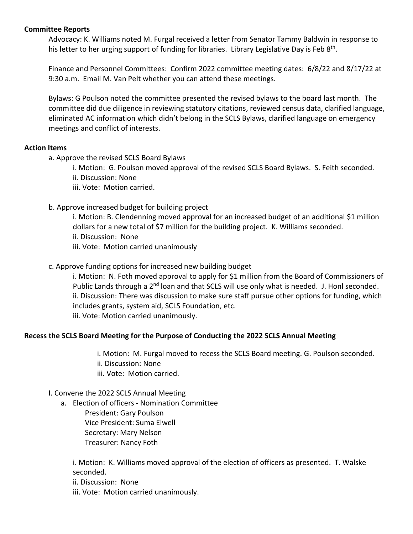### **Committee Reports**

Advocacy: K. Williams noted M. Furgal received a letter from Senator Tammy Baldwin in response to his letter to her urging support of funding for libraries. Library Legislative Day is Feb 8<sup>th</sup>.

Finance and Personnel Committees: Confirm 2022 committee meeting dates: 6/8/22 and 8/17/22 at 9:30 a.m. Email M. Van Pelt whether you can attend these meetings.

Bylaws: G Poulson noted the committee presented the revised bylaws to the board last month. The committee did due diligence in reviewing statutory citations, reviewed census data, clarified language, eliminated AC information which didn't belong in the SCLS Bylaws, clarified language on emergency meetings and conflict of interests.

#### **Action Items**

a. Approve the revised SCLS Board Bylaws

i. Motion: G. Poulson moved approval of the revised SCLS Board Bylaws. S. Feith seconded. ii. Discussion: None

iii. Vote: Motion carried.

b. Approve increased budget for building project

i. Motion: B. Clendenning moved approval for an increased budget of an additional \$1 million dollars for a new total of \$7 million for the building project. K. Williams seconded. ii. Discussion: None iii. Vote: Motion carried unanimously

### c. Approve funding options for increased new building budget

i. Motion: N. Foth moved approval to apply for \$1 million from the Board of Commissioners of Public Lands through a 2<sup>nd</sup> loan and that SCLS will use only what is needed. J. Honl seconded. ii. Discussion: There was discussion to make sure staff pursue other options for funding, which includes grants, system aid, SCLS Foundation, etc. iii. Vote: Motion carried unanimously.

### **Recess the SCLS Board Meeting for the Purpose of Conducting the 2022 SCLS Annual Meeting**

i. Motion: M. Furgal moved to recess the SCLS Board meeting. G. Poulson seconded. ii. Discussion: None iii. Vote: Motion carried.

#### I. Convene the 2022 SCLS Annual Meeting

a. Election of officers - Nomination Committee

President: Gary Poulson Vice President: Suma Elwell Secretary: Mary Nelson Treasurer: Nancy Foth

i. Motion: K. Williams moved approval of the election of officers as presented. T. Walske seconded.

ii. Discussion: None iii. Vote: Motion carried unanimously.